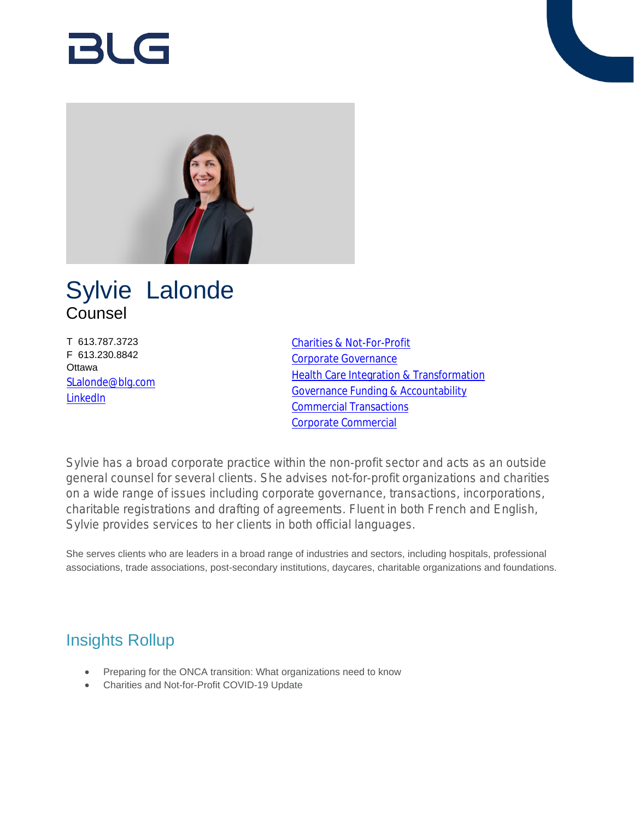# Rl G



## Sylvie Lalonde Counsel

T 613.787.3723 F 613.230.8842 **Ottawa** [SLalonde@blg.com](mailto:SLalonde@blg.com) [LinkedIn](http://linkedin.com/in/sylvie-lalonde-b4430231)

[Charities & Not-For-Profit](https://www.blg.com/en/services/industries/government-,-a-,-public-sector/charities-and-not-for-profits) [Corporate Governance](https://www.blg.com/en/services/practice-areas/corporate-commercial/corporate-governance) **[Health Care Integration & Transformation](https://www.blg.com/en/services/practice-areas/health-care/health-systems-integrations-transformation)** [Governance Funding & Accountability](https://www.blg.com/en/services/practice-areas/health-care/governance-funding-accountability) [Commercial Transactions](https://www.blg.com/en/services/practice-areas/health-care/commercial-transactions) [Corporate Commercial](https://www.blg.com/en/services/practice-areas/corporate-commercial)

Sylvie has a broad corporate practice within the non-profit sector and acts as an outside general counsel for several clients. She advises not-for-profit organizations and charities on a wide range of issues including corporate governance, transactions, incorporations, charitable registrations and drafting of agreements. Fluent in both French and English, Sylvie provides services to her clients in both official languages.

She serves clients who are leaders in a broad range of industries and sectors, including hospitals, professional associations, trade associations, post-secondary institutions, daycares, charitable organizations and foundations.

## Insights Rollup

- Preparing for the ONCA transition: What organizations need to know
- Charities and Not-for-Profit COVID-19 Update